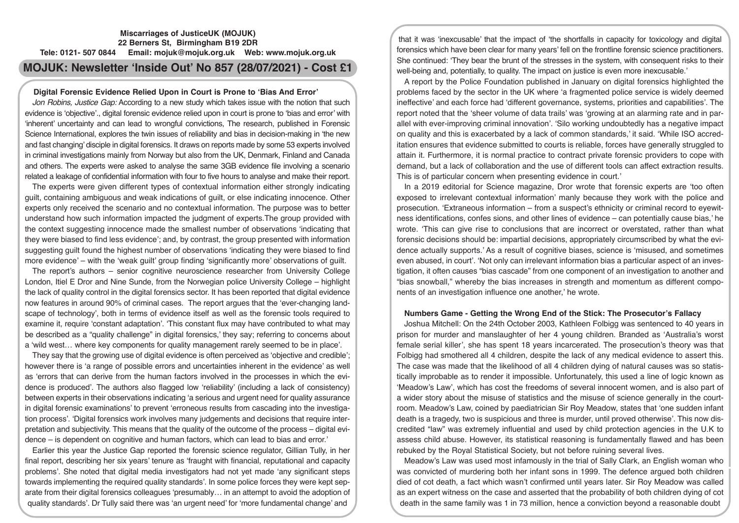# **Miscarriages of JusticeUK (MOJUK) 22 Berners St, Birmingham B19 2DR Tele: 0121- 507 0844 Email: mojuk@mojuk.org.uk Web: www.mojuk.org.uk**

# **MOJUK: Newsletter 'Inside Out' No 857 (28/07/2021) - Cost £1**

# **Digital Forensic Evidence Relied Upon in Court is Prone to 'Bias And Error'**

*Jon Robins, Justice Gap:* According to a new study which takes issue with the notion that such evidence is 'objective'., digital forensic evidence relied upon in court is prone to 'bias and error' with 'inherent' uncertainty and can lead to wrongful convictions, The research, published in Forensic Science International, explores the twin issues of reliability and bias in decision-making in 'the new and fast changing' disciple in digital forensics. It draws on reports made by some 53 experts involved in criminal investigations mainly from Norway but also from the UK, Denmark, Finland and Canada and others. The experts were asked to analyse the same 3GB evidence file involving a scenario related a leakage of confidential information with four to five hours to analyse and make their report.

The experts were given different types of contextual information either strongly indicating guilt, containing ambiguous and weak indications of guilt, or else indicating innocence. Other experts only received the scenario and no contextual information. The purpose was to better understand how such information impacted the judgment of experts.The group provided with the context suggesting innocence made the smallest number of observations 'indicating that they were biased to find less evidence'; and, by contrast, the group presented with information suggesting guilt found the highest number of observations 'indicating they were biased to find more evidence' – with the 'weak guilt' group finding 'significantly more' observations of guilt.

The report's authors – senior cognitive neuroscience researcher from University College London, Itiel E Dror and Nine Sunde, from the Norwegian police University College – highlight the lack of quality control in the digital forensics sector. It has been reported that digital evidence now features in around 90% of criminal cases. The report argues that the 'ever-changing landscape of technology', both in terms of evidence itself as well as the forensic tools required to examine it, require 'constant adaptation'. 'This constant flux may have contributed to what may be described as a "quality challenge" in digital forensics,' they say; referring to concerns about a 'wild west… where key components for quality management rarely seemed to be in place'.

They say that the growing use of digital evidence is often perceived as 'objective and credible'; however there is 'a range of possible errors and uncertainties inherent in the evidence' as well as 'errors that can derive from the human factors involved in the processes in which the evidence is produced'. The authors also flagged low 'reliability' (including a lack of consistency) between experts in their observations indicating 'a serious and urgent need for quality assurance in digital forensic examinations' to prevent 'erroneous results from cascading into the investigation process'. 'Digital forensics work involves many judgements and decisions that require interpretation and subjectivity. This means that the quality of the outcome of the process – digital evidence – is dependent on cognitive and human factors, which can lead to bias and error.'

Earlier this year the Justice Gap reported the forensic science regulator, Gillian Tully, in her final report, describing her six years' tenure as 'fraught with financial, reputational and capacity problems'. She noted that digital media investigators had not yet made 'any significant steps towards implementing the required quality standards'. In some police forces they were kept separate from their digital forensics colleagues 'presumably… in an attempt to avoid the adoption of quality standards'. Dr Tully said there was 'an urgent need' for 'more fundamental change' and

that it was 'inexcusable' that the impact of 'the shortfalls in capacity for toxicology and digital forensics which have been clear for many years' fell on the frontline forensic science practitioners. She continued: 'They bear the brunt of the stresses in the system, with consequent risks to their well-being and, potentially, to quality. The impact on justice is even more inexcusable.'

A report by the Police Foundation published in January on digital forensics highlighted the problems faced by the sector in the UK where 'a fragmented police service is widely deemed ineffective' and each force had 'different governance, systems, priorities and capabilities'. The report noted that the 'sheer volume of data trails' was 'growing at an alarming rate and in parallel with ever-improving criminal innovation'. 'Silo working undoubtedly has a negative impact on quality and this is exacerbated by a lack of common standards,' it said. 'While ISO accreditation ensures that evidence submitted to courts is reliable, forces have generally struggled to attain it. Furthermore, it is normal practice to contract private forensic providers to cope with demand, but a lack of collaboration and the use of different tools can affect extraction results. This is of particular concern when presenting evidence in court.'

In a 2019 editorial for Science magazine, Dror wrote that forensic experts are 'too often exposed to irrelevant contextual information' manly because they work with the police and prosecution. 'Extraneous information – from a suspect's ethnicity or criminal record to eyewitness identifications, confes sions, and other lines of evidence – can potentially cause bias,' he wrote. 'This can give rise to conclusions that are incorrect or overstated, rather than what forensic decisions should be: impartial decisions, appropriately circumscribed by what the evidence actually supports.' As a result of cognitive biases, science is 'misused, and sometimes even abused, in court'. 'Not only can irrelevant information bias a particular aspect of an investigation, it often causes "bias cascade" from one component of an investigation to another and "bias snowball," whereby the bias increases in strength and momentum as different components of an investigation influence one another,' he wrote.

# **Numbers Game - Getting the Wrong End of the Stick: The Prosecutor's Fallacy**

Joshua Mitchell: On the 24th October 2003, Kathleen Folbigg was sentenced to 40 years in prison for murder and manslaughter of her 4 young children. Branded as 'Australia's worst female serial killer', she has spent 18 years incarcerated. The prosecution's theory was that Folbigg had smothered all 4 children, despite the lack of any medical evidence to assert this. The case was made that the likelihood of all 4 children dying of natural causes was so statistically improbable as to render it impossible. Unfortunately, this used a line of logic known as 'Meadow's Law', which has cost the freedoms of several innocent women, and is also part of a wider story about the misuse of statistics and the misuse of science generally in the courtroom. Meadow's Law, coined by paediatrician Sir Roy Meadow, states that 'one sudden infant death is a tragedy, two is suspicious and three is murder, until proved otherwise'. This now discredited "law" was extremely influential and used by child protection agencies in the U.K to assess child abuse. However, its statistical reasoning is fundamentally flawed and has been rebuked by the Royal Statistical Society, but not before ruining several lives.

Meadow's Law was used most infamously in the trial of Sally Clark, an English woman who was convicted of murdering both her infant sons in 1999. The defence argued both children died of cot death, a fact which wasn't confirmed until years later. Sir Roy Meadow was called as an expert witness on the case and asserted that the probability of both children dying of cot death in the same family was 1 in 73 million, hence a conviction beyond a reasonable doubt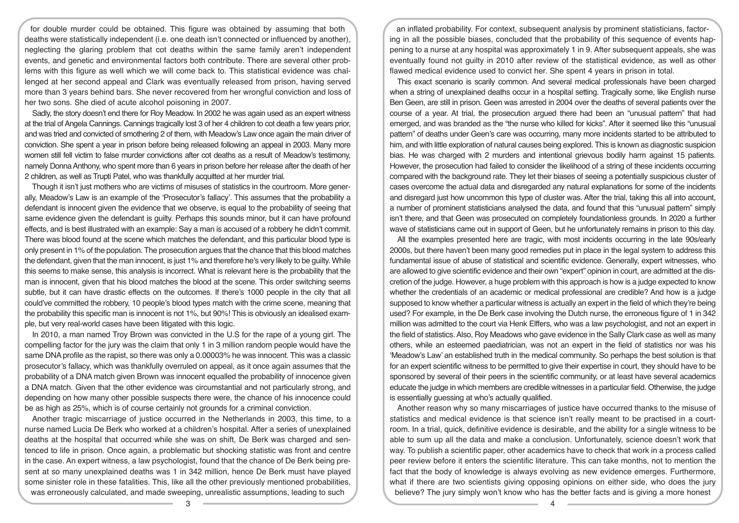for double murder could be obtained. This figure was obtained by assuming that both deaths were statistically independent (i.e. one death isn't connected or influenced by another), neglecting the glaring problem that cot deaths within the same family aren't independent events, and genetic and environmental factors both contribute. There are several other problems with this figure as well which we will come back to. This statistical evidence was challenged at her second appeal and Clark was eventually released from prison, having served more than 3 years behind bars. She never recovered from her wrongful conviction and loss of her two sons. She died of acute alcohol poisoning in 2007.

Sadly, the story doesn't end there for Roy Meadow. In 2002 he was again used as an expert witness at the trial of Angela Cannings. Cannings tragically lost 3 of her 4 children to cot death a few years prior, and was tried and convicted of smothering 2 of them, with Meadow's Law once again the main driver of conviction. She spent a year in prison before being released following an appeal in 2003. Many more women still fell victim to false murder convictions after cot deaths as a result of Meadow's testimony, namely Donna Anthony, who spent more than 6 years in prison before her release after the death of her 2 children, as well as Trupti Patel, who was thankfully acquitted at her murder trial.

Though it isn't just mothers who are victims of misuses of statistics in the courtroom. More generally, Meadow's Law is an example of the 'Prosecutor's fallacy'. This assumes that the probability a defendant is innocent given the evidence that we observe, is equal to the probability of seeing that same evidence given the defendant is guilty. Perhaps this sounds minor, but it can have profound effects, and is best illustrated with an example: Say a man is accused of a robbery he didn't commit. There was blood found at the scene which matches the defendant, and this particular blood type is only present in 1% of the population. The prosecution argues that the chance that this blood matches the defendant, given that the man innocent, is just 1% and therefore he's very likely to be guilty. While this seems to make sense, this analysis is incorrect. What is relevant here is the probability that the man is innocent, given that his blood matches the blood at the scene. This order switching seems subtle, but it can have drastic effects on the outcomes. If there's 1000 people in the city that all could've committed the robbery, 10 people's blood types match with the crime scene, meaning that the probability this specific man is innocent is not 1%, but 90%! This is obviously an idealised example, but very real-world cases have been litigated with this logic.

In 2010, a man named Troy Brown was convicted in the U.S for the rape of a young girl. The compelling factor for the jury was the claim that only 1 in 3 million random people would have the same DNA profile as the rapist, so there was only a 0.00003% he was innocent. This was a classic prosecutor's fallacy, which was thankfully overruled on appeal, as it once again assumes that the probability of a DNA match given Brown was innocent equalled the probability of innocence given a DNA match. Given that the other evidence was circumstantial and not particularly strong, and depending on how many other possible suspects there were, the chance of his innocence could be as high as 25%, which is of course certainly not grounds for a criminal conviction.

Another tragic miscarriage of justice occurred in the Netherlands in 2003, this time, to a nurse named Lucia De Berk who worked at a children's hospital. After a series of unexplained deaths at the hospital that occurred while she was on shift, De Berk was charged and sentenced to life in prison. Once again, a problematic but shocking statistic was front and centre in the case. An expert witness, a law psychologist, found that the chance of De Berk being present at so many unexplained deaths was 1 in 342 million, hence De Berk must have played some sinister role in these fatalities. This, like all the other previously mentioned probabilities, was erroneously calculated, and made sweeping, unrealistic assumptions, leading to such

an inflated probability. For context, subsequent analysis by prominent statisticians, factoring in all the possible biases, concluded that the probability of this sequence of events happening to a nurse at any hospital was approximately 1 in 9. After subsequent appeals, she was eventually found not guilty in 2010 after review of the statistical evidence, as well as other flawed medical evidence used to convict her. She spent 4 years in prison in total.

This exact scenario is scarily common. And several medical professionals have been charged when a string of unexplained deaths occur in a hospital setting. Tragically some, like English nurse Ben Geen, are still in prison. Geen was arrested in 2004 over the deaths of several patients over the course of a year. At trial, the prosecution argued there had been an "unusual pattern" that had emerged, and was branded as the "the nurse who killed for kicks". After it seemed like this "unusual pattern" of deaths under Geen's care was occurring, many more incidents started to be attributed to him, and with little exploration of natural causes being explored. This is known as diagnostic suspicion bias. He was charged with 2 murders and intentional grievous bodily harm against 15 patients. However, the prosecution had failed to consider the likelihood of a string of these incidents occurring compared with the background rate. They let their biases of seeing a potentially suspicious cluster of cases overcome the actual data and disregarded any natural explanations for some of the incidents and disregard just how uncommon this type of cluster was. After the trial, taking this all into account, a number of prominent statisticians analysed the data, and found that this "unusual pattern" simply isn't there, and that Geen was prosecuted on completely foundationless grounds. In 2020 a further wave of statisticians came out in support of Geen, but he unfortunately remains in prison to this day.

All the examples presented here are tragic, with most incidents occurring in the late 90s/early 2000s, but there haven't been many good remedies put in place in the legal system to address this fundamental issue of abuse of statistical and scientific evidence. Generally, expert witnesses, who are allowed to give scientific evidence and their own "expert" opinion in court, are admitted at the discretion of the judge. However, a huge problem with this approach is how is a judge expected to know whether the credentials of an academic or medical professional are credible? And how is a judge supposed to know whether a particular witness is actually an expert in the field of which they're being used? For example, in the De Berk case involving the Dutch nurse, the erroneous figure of 1 in 342 million was admitted to the court via Henk Elffers, who was a law psychologist, and not an expert in the field of statistics. Also, Roy Meadows who gave evidence in the Sally Clark case as well as many others, while an esteemed paediatrician, was not an expert in the field of statistics nor was his 'Meadow's Law' an established truth in the medical community. So perhaps the best solution is that for an expert scientific witness to be permitted to give their expertise in court, they should have to be sponsored by several of their peers in the scientific community, or at least have several academics educate the judge in which members are credible witnesses in a particular field. Otherwise, the judge is essentially guessing at who's actually qualified.

Another reason why so many miscarriages of justice have occurred thanks to the misuse of statistics and medical evidence is that science isn't really meant to be practised in a courtroom. In a trial, quick, definitive evidence is desirable, and the ability for a single witness to be able to sum up all the data and make a conclusion. Unfortunately, science doesn't work that way. To publish a scientific paper, other academics have to check that work in a process called peer review before it enters the scientific literature. This can take months, not to mention the fact that the body of knowledge is always evolving as new evidence emerges. Furthermore, what if there are two scientists giving opposing opinions on either side, who does the jury believe? The jury simply won't know who has the better facts and is giving a more honest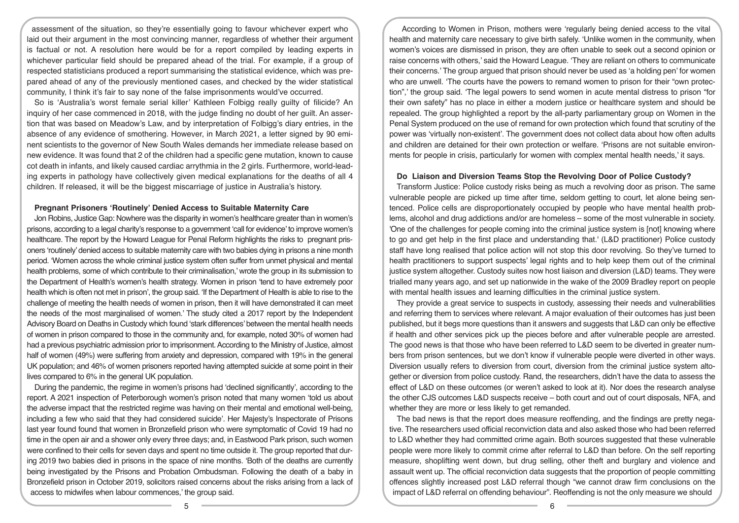assessment of the situation, so they're essentially going to favour whichever expert who laid out their argument in the most convincing manner, regardless of whether their argument is factual or not. A resolution here would be for a report compiled by leading experts in whichever particular field should be prepared ahead of the trial. For example, if a group of respected statisticians produced a report summarising the statistical evidence, which was prepared ahead of any of the previously mentioned cases, and checked by the wider statistical community, I think it's fair to say none of the false imprisonments would've occurred.

So is 'Australia's worst female serial killer' Kathleen Folbigg really guilty of filicide? An inquiry of her case commenced in 2018, with the judge finding no doubt of her guilt. An assertion that was based on Meadow's Law, and by interpretation of Folbigg's diary entries, in the absence of any evidence of smothering. However, in March 2021, a letter signed by 90 eminent scientists to the governor of New South Wales demands her immediate release based on new evidence. It was found that 2 of the children had a specific gene mutation, known to cause cot death in infants, and likely caused cardiac arrythmia in the 2 girls. Furthermore, world-leading experts in pathology have collectively given medical explanations for the deaths of all 4 children. If released, it will be the biggest miscarriage of justice in Australia's history.

## **Pregnant Prisoners 'Routinely' Denied Access to Suitable Maternity Care**

Jon Robins, Justice Gap: Nowhere was the disparity in women's healthcare greater than in women's prisons, according to a legal charity's response to a government 'call for evidence' to improve women's healthcare. The report by the Howard League for Penal Reform highlights the risks to pregnant prisoners 'routinely' denied access to suitable maternity care with two babies dying in prisons a nine month period. 'Women across the whole criminal justice system often suffer from unmet physical and mental health problems, some of which contribute to their criminalisation,' wrote the group in its submission to the Department of Health's women's health strategy. Women in prison 'tend to have extremely poor health which is often not met in prison', the group said. 'If the Department of Health is able to rise to the challenge of meeting the health needs of women in prison, then it will have demonstrated it can meet the needs of the most marginalised of women.' The study cited a 2017 report by the Independent Advisory Board on Deaths in Custody which found 'stark differences' between the mental health needs of women in prison compared to those in the community and, for example, noted 30% of women had had a previous psychiatric admission prior to imprisonment. According to the Ministry of Justice, almost half of women (49%) were suffering from anxiety and depression, compared with 19% in the general UK population; and 46% of women prisoners reported having attempted suicide at some point in their lives compared to 6% in the general UK population.

During the pandemic, the regime in women's prisons had 'declined significantly', according to the report. A 2021 inspection of Peterborough women's prison noted that many women 'told us about the adverse impact that the restricted regime was having on their mental and emotional well-being, including a few who said that they had considered suicide'. Her Majesty's Inspectorate of Prisons last year found found that women in Bronzefield prison who were symptomatic of Covid 19 had no time in the open air and a shower only every three days; and, in Eastwood Park prison, such women were confined to their cells for seven days and spent no time outside it. The group reported that during 2019 two babies died in prisons in the space of nine months. 'Both of the deaths are currently being investigated by the Prisons and Probation Ombudsman. Following the death of a baby in Bronzefield prison in October 2019, solicitors raised concerns about the risks arising from a lack of access to midwifes when labour commences,' the group said.

According to Women in Prison, mothers were 'regularly being denied access to the vital health and maternity care necessary to give birth safely. 'Unlike women in the community, when women's voices are dismissed in prison, they are often unable to seek out a second opinion or raise concerns with others,' said the Howard League. 'They are reliant on others to communicate their concerns.' The group argued that prison should never be used as 'a holding pen' for women who are unwell. 'The courts have the powers to remand women to prison for their "own protection",' the group said. 'The legal powers to send women in acute mental distress to prison "for their own safety" has no place in either a modern justice or healthcare system and should be repealed. The group highlighted a report by the all-party parliamentary group on Women in the Penal System produced on the use of remand for own protection which found that scrutiny of the power was 'virtually non-existent'. The government does not collect data about how often adults and children are detained for their own protection or welfare. 'Prisons are not suitable environments for people in crisis, particularly for women with complex mental health needs,' it says.

#### **Do Liaison and Diversion Teams Stop the Revolving Door of Police Custody?**

Transform Justice: Police custody risks being as much a revolving door as prison. The same vulnerable people are picked up time after time, seldom getting to court, let alone being sentenced. Police cells are disproportionately occupied by people who have mental health problems, alcohol and drug addictions and/or are homeless – some of the most vulnerable in society. 'One of the challenges for people coming into the criminal justice system is [not] knowing where to go and get help in the first place and understanding that.' (L&D practitioner) Police custody staff have long realised that police action will not stop this door revolving. So they've turned to health practitioners to support suspects' legal rights and to help keep them out of the criminal justice system altogether. Custody suites now host liaison and diversion (L&D) teams. They were trialled many years ago, and set up nationwide in the wake of the 2009 Bradley report on people with mental health issues and learning difficulties in the criminal justice system.

They provide a great service to suspects in custody, assessing their needs and vulnerabilities and referring them to services where relevant. A major evaluation of their outcomes has just been published, but it begs more questions than it answers and suggests that L&D can only be effective if health and other services pick up the pieces before and after vulnerable people are arrested. The good news is that those who have been referred to L&D seem to be diverted in greater numbers from prison sentences, but we don't know if vulnerable people were diverted in other ways. Diversion usually refers to diversion from court, diversion from the criminal justice system altogether or diversion from police custody. Rand, the researchers, didn't have the data to assess the effect of L&D on these outcomes (or weren't asked to look at it). Nor does the research analyse the other CJS outcomes L&D suspects receive – both court and out of court disposals, NFA, and whether they are more or less likely to get remanded.

The bad news is that the report does measure reoffending, and the findings are pretty negative. The researchers used official reconviction data and also asked those who had been referred to L&D whether they had committed crime again. Both sources suggested that these vulnerable people were more likely to commit crime after referral to L&D than before. On the self reporting measure, shoplifting went down, but drug selling, other theft and burglary and violence and assault went up. The official reconviction data suggests that the proportion of people committing offences slightly increased post L&D referral though "we cannot draw firm conclusions on the impact of L&D referral on offending behaviour". Reoffending is not the only measure we should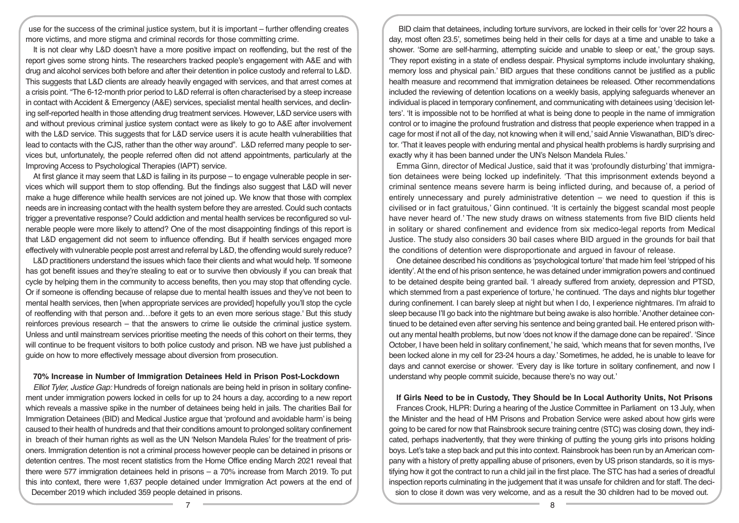use for the success of the criminal justice system, but it is important – further offending creates more victims, and more stigma and criminal records for those committing crime.

It is not clear why L&D doesn't have a more positive impact on reoffending, but the rest of the report gives some strong hints. The researchers tracked people's engagement with A&E and with drug and alcohol services both before and after their detention in police custody and referral to L&D. This suggests that L&D clients are already heavily engaged with services, and that arrest comes at a crisis point. "The 6-12-month prior period to L&D referral is often characterised by a steep increase in contact with Accident & Emergency (A&E) services, specialist mental health services, and declining self-reported health in those attending drug treatment services. However, L&D service users with and without previous criminal justice system contact were as likely to go to A&E after involvement with the L&D service. This suggests that for L&D service users it is acute health vulnerabilities that lead to contacts with the CJS, rather than the other way around". L&D referred many people to services but, unfortunately, the people referred often did not attend appointments, particularly at the Improving Access to Psychological Therapies (IAPT) service.

At first glance it may seem that L&D is failing in its purpose – to engage vulnerable people in services which will support them to stop offending. But the findings also suggest that L&D will never make a huge difference while health services are not joined up. We know that those with complex needs are in increasing contact with the health system before they are arrested. Could such contacts trigger a preventative response? Could addiction and mental health services be reconfigured so vulnerable people were more likely to attend? One of the most disappointing findings of this report is that L&D engagement did not seem to influence offending. But if health services engaged more effectively with vulnerable people post arrest and referral by L&D, the offending would surely reduce?

L&D practitioners understand the issues which face their clients and what would help. 'If someone has got benefit issues and they're stealing to eat or to survive then obviously if you can break that cycle by helping them in the community to access benefits, then you may stop that offending cycle. Or if someone is offending because of relapse due to mental health issues and they've not been to mental health services, then [when appropriate services are provided] hopefully you'll stop the cycle of reoffending with that person and…before it gets to an even more serious stage.' But this study reinforces previous research – that the answers to crime lie outside the criminal justice system. Unless and until mainstream services prioritise meeting the needs of this cohort on their terms, they will continue to be frequent visitors to both police custody and prison. NB we have just published a guide on how to more effectively message about diversion from prosecution.

#### **70% Increase in Number of Immigration Detainees Held in Prison Post-Lockdown**

*Elliot Tyler, Justice Gap:* Hundreds of foreign nationals are being held in prison in solitary confinement under immigration powers locked in cells for up to 24 hours a day, according to a new report which reveals a massive spike in the number of detainees being held in jails. The charities Bail for Immigration Detainees (BID) and Medical Justice argue that 'profound and avoidable harm' is being caused to their health of hundreds and that their conditions amount to prolonged solitary confinement in breach of their human rights as well as the UN 'Nelson Mandela Rules' for the treatment of prisoners. Immigration detention is not a criminal process however people can be detained in prisons or detention centres. The most recent statistics from the Home Office ending March 2021 reveal that there were 577 immigration detainees held in prisons – a 70% increase from March 2019. To put this into context, there were 1,637 people detained under Immigration Act powers at the end of December 2019 which included 359 people detained in prisons.

BID claim that detainees, including torture survivors, are locked in their cells for 'over 22 hours a day, most often 23.5', sometimes being held in their cells for days at a time and unable to take a shower. 'Some are self-harming, attempting suicide and unable to sleep or eat,' the group says. 'They report existing in a state of endless despair. Physical symptoms include involuntary shaking, memory loss and physical pain.' BID argues that these conditions cannot be justified as a public health measure and recommend that immigration detainees be released. Other recommendations included the reviewing of detention locations on a weekly basis, applying safeguards whenever an individual is placed in temporary confinement, and communicating with detainees using 'decision letters'. 'It is impossible not to be horrified at what is being done to people in the name of immigration control or to imagine the profound frustration and distress that people experience when trapped in a cage for most if not all of the day, not knowing when it will end,' said Annie Viswanathan, BID's director. 'That it leaves people with enduring mental and physical health problems is hardly surprising and exactly why it has been banned under the UN's Nelson Mandela Rules.'

Emma Ginn, director of Medical Justice, said that it was 'profoundly disturbing' that immigration detainees were being locked up indefinitely. 'That this imprisonment extends beyond a criminal sentence means severe harm is being inflicted during, and because of, a period of entirely unnecessary and purely administrative detention – we need to question if this is civilised or in fact gratuitous,' Ginn continued. 'It is certainly the biggest scandal most people have never heard of.' The new study draws on witness statements from five BID clients held in solitary or shared confinement and evidence from six medico-legal reports from Medical Justice. The study also considers 30 bail cases where BID argued in the grounds for bail that the conditions of detention were disproportionate and argued in favour of release.

One detainee described his conditions as 'psychological torture' that made him feel 'stripped of his identity'. At the end of his prison sentence, he was detained under immigration powers and continued to be detained despite being granted bail. 'I already suffered from anxiety, depression and PTSD, which stemmed from a past experience of torture,' he continued. 'The days and nights blur together during confinement. I can barely sleep at night but when I do, I experience nightmares. I'm afraid to sleep because I'll go back into the nightmare but being awake is also horrible.' Another detainee continued to be detained even after serving his sentence and being granted bail. He entered prison without any mental health problems, but now 'does not know if the damage done can be repaired'. 'Since October, I have been held in solitary confinement,' he said, 'which means that for seven months, I've been locked alone in my cell for 23-24 hours a day.' Sometimes, he added, he is unable to leave for days and cannot exercise or shower. 'Every day is like torture in solitary confinement, and now I understand why people commit suicide, because there's no way out.'

#### **If Girls Need to be in Custody, They Should be In Local Authority Units, Not Prisons**

Frances Crook, HLPR: During a hearing of the Justice Committee in Parliament on 13 July, when the Minister and the head of HM Prisons and Probation Service were asked about how girls were going to be cared for now that Rainsbrook secure training centre (STC) was closing down, they indicated, perhaps inadvertently, that they were thinking of putting the young girls into prisons holding boys. Let's take a step back and put this into context. Rainsbrook has been run by an American company with a history of pretty appalling abuse of prisoners, even by US prison standards, so it is mystifying how it got the contract to run a child jail in the first place. The STC has had a series of dreadful inspection reports culminating in the judgement that it was unsafe for children and for staff. The decision to close it down was very welcome, and as a result the 30 children had to be moved out.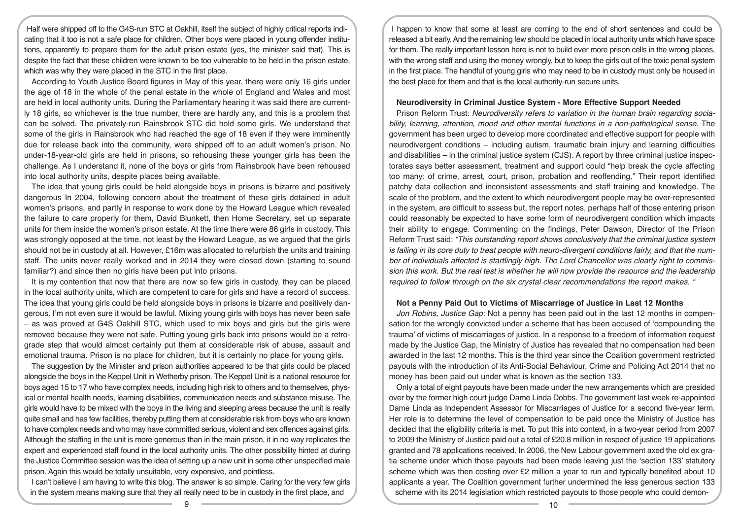Half were shipped off to the G4S-run STC at Oakhill, itself the subject of highly critical reports indicating that it too is not a safe place for children. Other boys were placed in young offender institutions, apparently to prepare them for the adult prison estate (yes, the minister said that). This is despite the fact that these children were known to be too vulnerable to be held in the prison estate, which was why they were placed in the STC in the first place.

According to Youth Justice Board figures in May of this year, there were only 16 girls under the age of 18 in the whole of the penal estate in the whole of England and Wales and most are held in local authority units. During the Parliamentary hearing it was said there are currently 18 girls, so whichever is the true number, there are hardly any, and this is a problem that can be solved. The privately-run Rainsbrook STC did hold some girls. We understand that some of the girls in Rainsbrook who had reached the age of 18 even if they were imminently due for release back into the community, were shipped off to an adult women's prison. No under-18-year-old girls are held in prisons, so rehousing these younger girls has been the challenge. As I understand it, none of the boys or girls from Rainsbrook have been rehoused into local authority units, despite places being available.

The idea that young girls could be held alongside boys in prisons is bizarre and positively dangerous In 2004, following concern about the treatment of these girls detained in adult women's prisons, and partly in response to work done by the Howard League which revealed the failure to care properly for them, David Blunkett, then Home Secretary, set up separate units for them inside the women's prison estate. At the time there were 86 girls in custody. This was strongly opposed at the time, not least by the Howard League, as we argued that the girls should not be in custody at all. However, £16m was allocated to refurbish the units and training staff. The units never really worked and in 2014 they were closed down (starting to sound familiar?) and since then no girls have been put into prisons.

It is my contention that now that there are now so few girls in custody, they can be placed in the local authority units, which are competent to care for girls and have a record of success. The idea that young girls could be held alongside boys in prisons is bizarre and positively dangerous. I'm not even sure it would be lawful. Mixing young girls with boys has never been safe – as was proved at G4S Oakhill STC, which used to mix boys and girls but the girls were removed because they were not safe. Putting young girls back into prisons would be a retrograde step that would almost certainly put them at considerable risk of abuse, assault and emotional trauma. Prison is no place for children, but it is certainly no place for young girls.

The suggestion by the Minister and prison authorities appeared to be that girls could be placed alongside the boys in the Keppel Unit in Wetherby prison. The Keppel Unit is a national resource for boys aged 15 to 17 who have complex needs, including high risk to others and to themselves, physical or mental health needs, learning disabilities, communication needs and substance misuse. The girls would have to be mixed with the boys in the living and sleeping areas because the unit is really quite small and has few facilities, thereby putting them at considerable risk from boys who are known to have complex needs and who may have committed serious, violent and sex offences against girls. Although the staffing in the unit is more generous than in the main prison, it in no way replicates the expert and experienced staff found in the local authority units. The other possibility hinted at during the Justice Committee session was the idea of setting up a new unit in some other unspecified male prison. Again this would be totally unsuitable, very expensive, and pointless.

I can't believe I am having to write this blog. The answer is so simple. Caring for the very few girls in the system means making sure that they all really need to be in custody in the first place, and

I happen to know that some at least are coming to the end of short sentences and could be released a bit early. And the remaining few should be placed in local authority units which have space for them. The really important lesson here is not to build ever more prison cells in the wrong places, with the wrong staff and using the money wrongly, but to keep the girls out of the toxic penal system in the first place. The handful of young girls who may need to be in custody must only be housed in the best place for them and that is the local authority-run secure units.

## **Neurodiversity in Criminal Justice System - More Effective Support Needed**

Prison Reform Trust: *Neurodiversity refers to variation in the human brain regarding socia*bility, learning, attention, mood and other mental functions in a non-pathological sense. The government has been urged to develop more coordinated and effective support for people with neurodivergent conditions – including autism, traumatic brain injury and learning difficulties and disabilities – in the criminal justice system (CJS). A report by three criminal justice inspectorates says better assessment, treatment and support could "help break the cycle affecting too many: of crime, arrest, court, prison, probation and reoffending." Their report identified patchy data collection and inconsistent assessments and staff training and knowledge. The scale of the problem, and the extent to which neurodivergent people may be over-represented in the system, are difficult to assess but, the report notes, perhaps half of those entering prison could reasonably be expected to have some form of neurodivergent condition which impacts their ability to engage. Commenting on the findings, Peter Dawson, Director of the Prison Reform Trust said: *"This outstanding report shows conclusively that the criminal justice system is failing in its core duty to treat people with neuro-divergent conditions fairly, and that the number of individuals affected is startlingly high. The Lord Chancellor was clearly right to commission this work. But the real test is whether he will now provide the resource and the leadership required to follow through on the six crystal clear recommendations the report makes. "* 

## **Not a Penny Paid Out to Victims of Miscarriage of Justice in Last 12 Months**

*Jon Robins, Justice Gap:* Not a penny has been paid out in the last 12 months in compensation for the wrongly convicted under a scheme that has been accused of 'compounding the trauma' of victims of miscarriages of justice. In a response to a freedom of information request made by the Justice Gap, the Ministry of Justice has revealed that no compensation had been awarded in the last 12 months. This is the third year since the Coalition government restricted payouts with the introduction of its Anti-Social Behaviour, Crime and Policing Act 2014 that no money has been paid out under what is known as the section 133.

Only a total of eight payouts have been made under the new arrangements which are presided over by the former high court judge Dame Linda Dobbs. The government last week re-appointed Dame Linda as Independent Assessor for Miscarriages of Justice for a second five-year term. Her role is to determine the level of compensation to be paid once the Ministry of Justice has decided that the eligibility criteria is met. To put this into context, in a two-year period from 2007 to 2009 the Ministry of Justice paid out a total of £20.8 million in respect of justice 19 applications granted and 78 applications received. In 2006, the New Labour government axed the old ex gratia scheme under which those payouts had been made leaving just the 'section 133' statutory scheme which was then costing over £2 million a year to run and typically benefited about 10 applicants a year. The Coalition government further undermined the less generous section 133 scheme with its 2014 legislation which restricted payouts to those people who could demon-